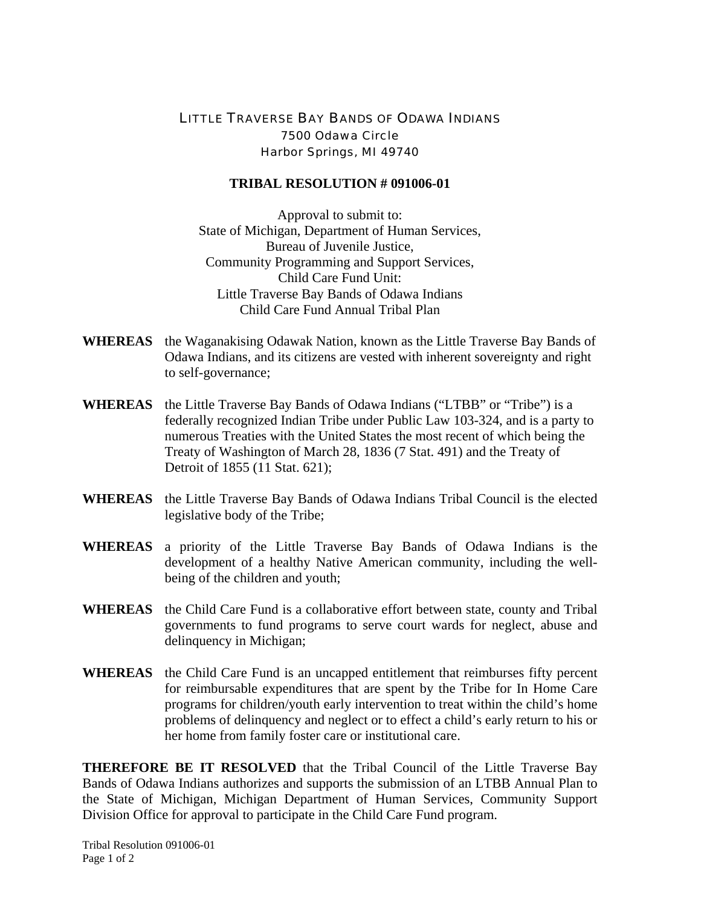## LITTLE TRAVERSE BAY BANDS OF ODAWA INDIANS 7500 Odawa Circle Harbor Springs, MI 49740

## **TRIBAL RESOLUTION # 091006-01**

Approval to submit to: State of Michigan, Department of Human Services, Bureau of Juvenile Justice, Community Programming and Support Services, Child Care Fund Unit: Little Traverse Bay Bands of Odawa Indians Child Care Fund Annual Tribal Plan

- **WHEREAS** the Waganakising Odawak Nation, known as the Little Traverse Bay Bands of Odawa Indians, and its citizens are vested with inherent sovereignty and right to self-governance;
- **WHEREAS** the Little Traverse Bay Bands of Odawa Indians ("LTBB" or "Tribe") is a federally recognized Indian Tribe under Public Law 103-324, and is a party to numerous Treaties with the United States the most recent of which being the Treaty of Washington of March 28, 1836 (7 Stat. 491) and the Treaty of Detroit of 1855 (11 Stat. 621);
- **WHEREAS** the Little Traverse Bay Bands of Odawa Indians Tribal Council is the elected legislative body of the Tribe;
- **WHEREAS** a priority of the Little Traverse Bay Bands of Odawa Indians is the development of a healthy Native American community, including the wellbeing of the children and youth;
- **WHEREAS** the Child Care Fund is a collaborative effort between state, county and Tribal governments to fund programs to serve court wards for neglect, abuse and delinquency in Michigan;
- **WHEREAS** the Child Care Fund is an uncapped entitlement that reimburses fifty percent for reimbursable expenditures that are spent by the Tribe for In Home Care programs for children/youth early intervention to treat within the child's home problems of delinquency and neglect or to effect a child's early return to his or her home from family foster care or institutional care.

**THEREFORE BE IT RESOLVED** that the Tribal Council of the Little Traverse Bay Bands of Odawa Indians authorizes and supports the submission of an LTBB Annual Plan to the State of Michigan, Michigan Department of Human Services, Community Support Division Office for approval to participate in the Child Care Fund program.